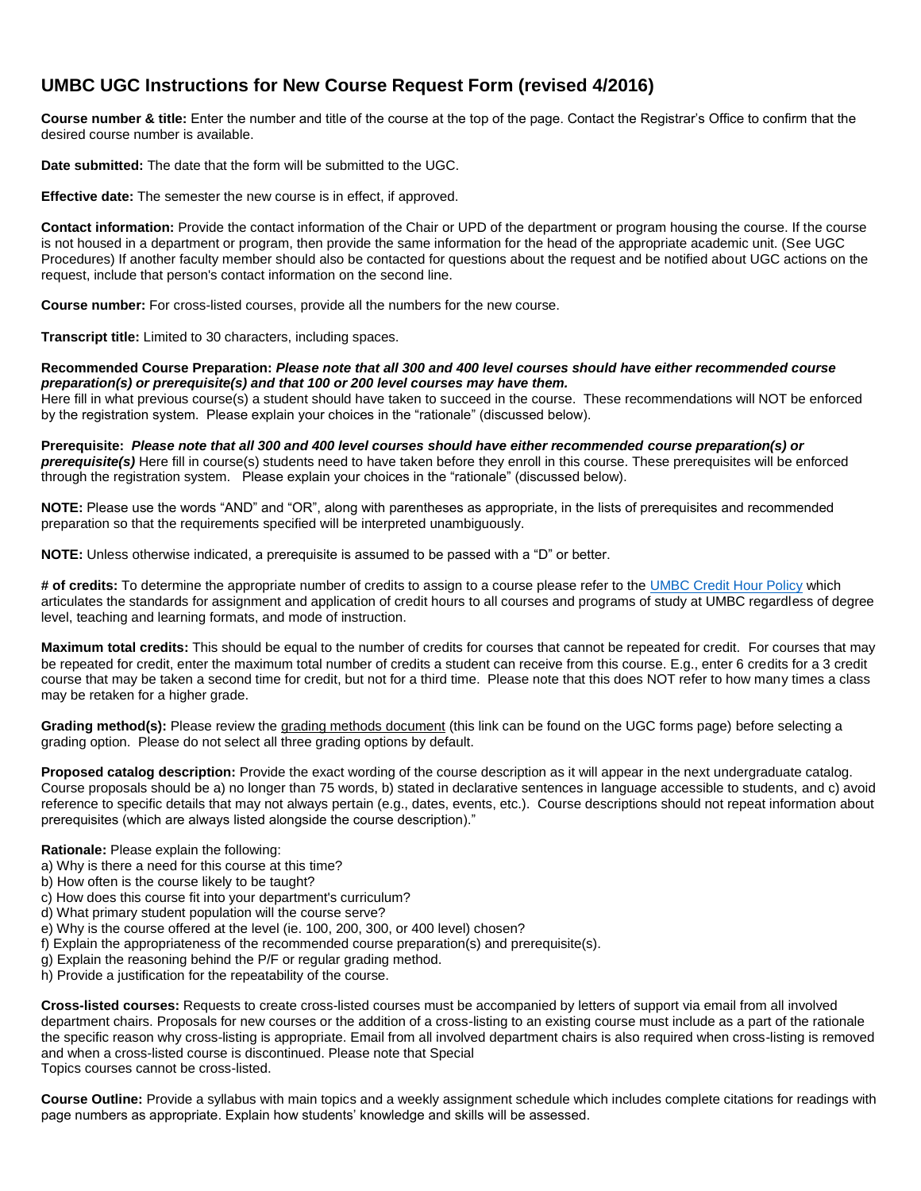# **UMBC UGC Instructions for New Course Request Form (revised 4/2016)**

**Course number & title:** Enter the number and title of the course at the top of the page. Contact the Registrar's Office to confirm that the desired course number is available.

**Date submitted:** The date that the form will be submitted to the UGC.

**Effective date:** The semester the new course is in effect, if approved.

**Contact information:** Provide the contact information of the Chair or UPD of the department or program housing the course. If the course is not housed in a department or program, then provide the same information for the head of the appropriate academic unit. (See UGC Procedures) If another faculty member should also be contacted for questions about the request and be notified about UGC actions on the request, include that person's contact information on the second line.

**Course number:** For cross-listed courses, provide all the numbers for the new course.

**Transcript title:** Limited to 30 characters, including spaces.

**Recommended Course Preparation:** *Please note that all 300 and 400 level courses should have either recommended course preparation(s) or prerequisite(s) and that 100 or 200 level courses may have them.*

Here fill in what previous course(s) a student should have taken to succeed in the course. These recommendations will NOT be enforced by the registration system. Please explain your choices in the "rationale" (discussed below).

**Prerequisite:** *Please note that all 300 and 400 level courses should have either recommended course preparation(s) or prerequisite(s)* Here fill in course(s) students need to have taken before they enroll in this course. These prerequisites will be enforced through the registration system.Please explain your choices in the "rationale" (discussed below).

**NOTE:** Please use the words "AND" and "OR", along with parentheses as appropriate, in the lists of prerequisites and recommended preparation so that the requirements specified will be interpreted unambiguously.

**NOTE:** Unless otherwise indicated, a prerequisite is assumed to be passed with a "D" or better.

**# of credits:** To determine the appropriate number of credits to assign to a course please refer to the [UMBC Credit Hour Policy](http://www.umbc.edu/policies/pdfs/UMBC%20Policy%20III.6.10.01%20Credit%20Hour%20Policy.pdf) which articulates the standards for assignment and application of credit hours to all courses and programs of study at UMBC regardless of degree level, teaching and learning formats, and mode of instruction.

**Maximum total credits:** This should be equal to the number of credits for courses that cannot be repeated for credit. For courses that may be repeated for credit, enter the maximum total number of credits a student can receive from this course. E.g., enter 6 credits for a 3 credit course that may be taken a second time for credit, but not for a third time. Please note that this does NOT refer to how many times a class may be retaken for a higher grade.

**Grading method(s):** Please review the grading methods document (this link can be found on the UGC forms page) before selecting a grading option. Please do not select all three grading options by default.

**Proposed catalog description:** Provide the exact wording of the course description as it will appear in the next undergraduate catalog. Course proposals should be a) no longer than 75 words, b) stated in declarative sentences in language accessible to students, and c) avoid reference to specific details that may not always pertain (e.g., dates, events, etc.). Course descriptions should not repeat information about prerequisites (which are always listed alongside the course description)."

#### **Rationale:** Please explain the following:

- a) Why is there a need for this course at this time?
- b) How often is the course likely to be taught?
- c) How does this course fit into your department's curriculum?
- d) What primary student population will the course serve?
- e) Why is the course offered at the level (ie. 100, 200, 300, or 400 level) chosen?
- f) Explain the appropriateness of the recommended course preparation(s) and prerequisite(s).
- g) Explain the reasoning behind the P/F or regular grading method.
- h) Provide a justification for the repeatability of the course.

**Cross-listed courses:** Requests to create cross-listed courses must be accompanied by letters of support via email from all involved department chairs. Proposals for new courses or the addition of a cross-listing to an existing course must include as a part of the rationale the specific reason why cross-listing is appropriate. Email from all involved department chairs is also required when cross-listing is removed and when a cross-listed course is discontinued. Please note that Special Topics courses cannot be cross-listed.

**Course Outline:** Provide a syllabus with main topics and a weekly assignment schedule which includes complete citations for readings with page numbers as appropriate. Explain how students' knowledge and skills will be assessed.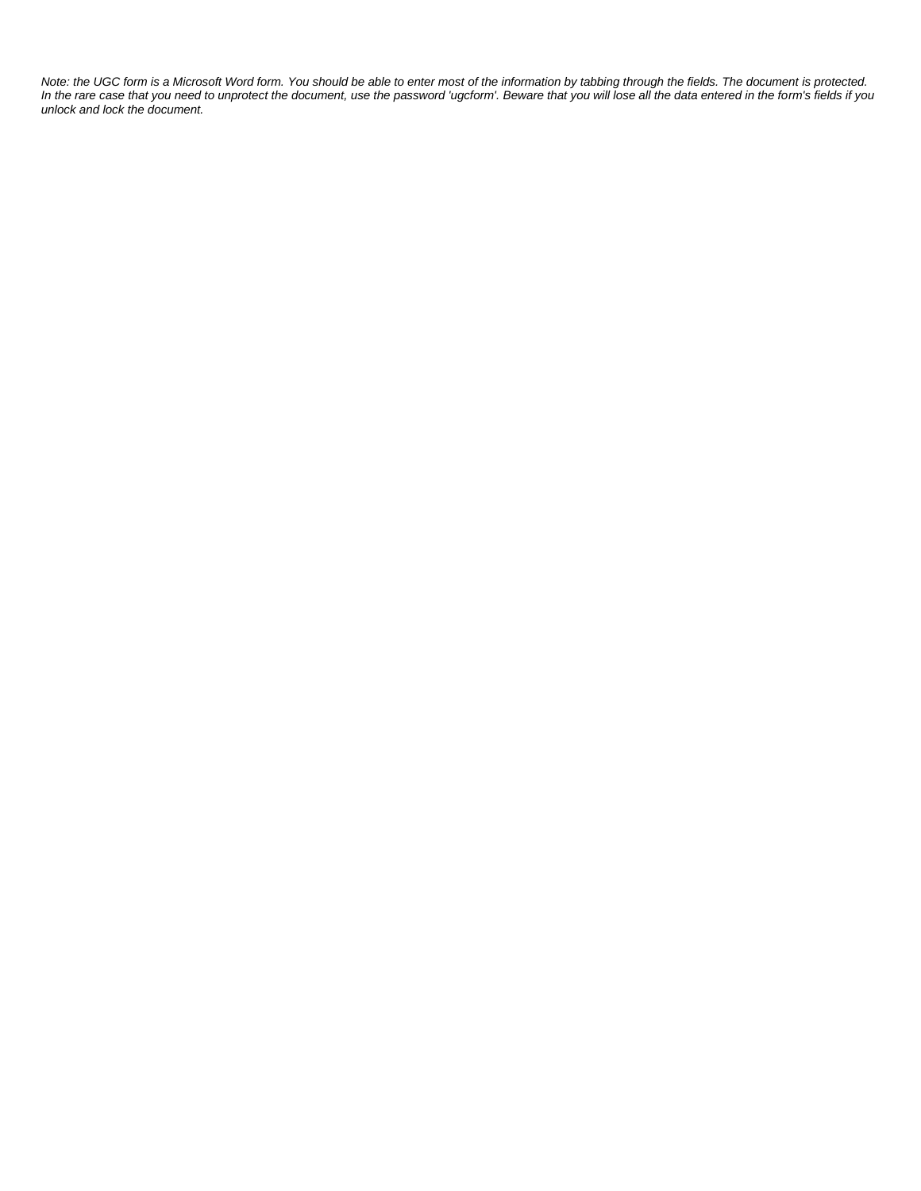*Note: the UGC form is a Microsoft Word form. You should be able to enter most of the information by tabbing through the fields. The document is protected. In the rare case that you need to unprotect the document, use the password 'ugcform'. Beware that you will lose all the data entered in the form's fields if you unlock and lock the document.*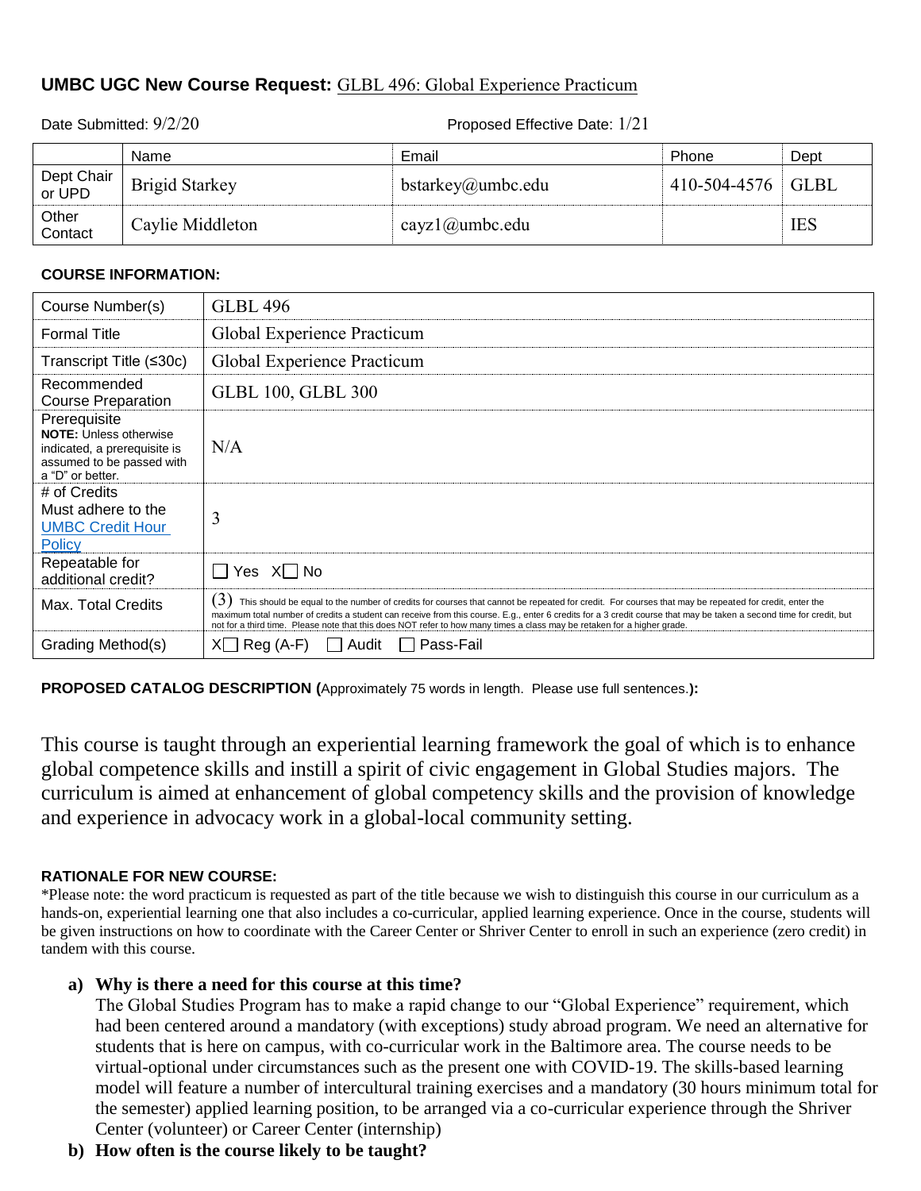# **UMBC UGC New Course Request:** GLBL 496: Global Experience Practicum

Date Submitted:  $9/2/20$  Proposed Effective Date:  $1/21$ 

|                      | Name                  | Email                | <b>Phone</b>        | Dept       |
|----------------------|-----------------------|----------------------|---------------------|------------|
| Dept Chair<br>or UPD | <b>Brigid Starkey</b> | $bstarkey@$ umbc.edu | $410-504-4576$ GLBL |            |
| Other<br>Contact     | Cavlie Middleton      | cayz1@umbc.edu       |                     | <b>IES</b> |

#### **COURSE INFORMATION:**

| Course Number(s)                                                                                                               | <b>GLBL 496</b>                                                                                                                                                                                                                                                                                                                                                                                                                                               |
|--------------------------------------------------------------------------------------------------------------------------------|---------------------------------------------------------------------------------------------------------------------------------------------------------------------------------------------------------------------------------------------------------------------------------------------------------------------------------------------------------------------------------------------------------------------------------------------------------------|
| <b>Formal Title</b>                                                                                                            | Global Experience Practicum                                                                                                                                                                                                                                                                                                                                                                                                                                   |
| Transcript Title (≤30c)                                                                                                        | Global Experience Practicum                                                                                                                                                                                                                                                                                                                                                                                                                                   |
| Recommended<br><b>Course Preparation</b>                                                                                       | <b>GLBL 100, GLBL 300</b>                                                                                                                                                                                                                                                                                                                                                                                                                                     |
| Prerequisite<br><b>NOTE:</b> Unless otherwise<br>indicated, a prerequisite is<br>assumed to be passed with<br>a "D" or better. | N/A                                                                                                                                                                                                                                                                                                                                                                                                                                                           |
| # of Credits<br>Must adhere to the<br><b>UMBC Credit Hour</b><br><b>Policy</b>                                                 | 3                                                                                                                                                                                                                                                                                                                                                                                                                                                             |
| Repeatable for<br>additional credit?                                                                                           | Yes X No                                                                                                                                                                                                                                                                                                                                                                                                                                                      |
| Max. Total Credits                                                                                                             | (3)<br>This should be equal to the number of credits for courses that cannot be repeated for credit. For courses that may be repeated for credit, enter the<br>maximum total number of credits a student can receive from this course. E.g., enter 6 credits for a 3 credit course that may be taken a second time for credit, but<br>not for a third time. Please note that this does NOT refer to how many times a class may be retaken for a higher grade. |
| Grading Method(s)                                                                                                              | Pass-Fail<br>$Reg(A-F)$<br>Audit<br>XI.                                                                                                                                                                                                                                                                                                                                                                                                                       |

**PROPOSED CATALOG DESCRIPTION (**Approximately 75 words in length. Please use full sentences.**):**

This course is taught through an experiential learning framework the goal of which is to enhance global competence skills and instill a spirit of civic engagement in Global Studies majors. The curriculum is aimed at enhancement of global competency skills and the provision of knowledge and experience in advocacy work in a global-local community setting.

#### **RATIONALE FOR NEW COURSE:**

\*Please note: the word practicum is requested as part of the title because we wish to distinguish this course in our curriculum as a hands-on, experiential learning one that also includes a co-curricular, applied learning experience. Once in the course, students will be given instructions on how to coordinate with the Career Center or Shriver Center to enroll in such an experience (zero credit) in tandem with this course.

#### **a) Why is there a need for this course at this time?**

The Global Studies Program has to make a rapid change to our "Global Experience" requirement, which had been centered around a mandatory (with exceptions) study abroad program. We need an alternative for students that is here on campus, with co-curricular work in the Baltimore area. The course needs to be virtual-optional under circumstances such as the present one with COVID-19. The skills-based learning model will feature a number of intercultural training exercises and a mandatory (30 hours minimum total for the semester) applied learning position, to be arranged via a co-curricular experience through the Shriver Center (volunteer) or Career Center (internship)

## **b) How often is the course likely to be taught?**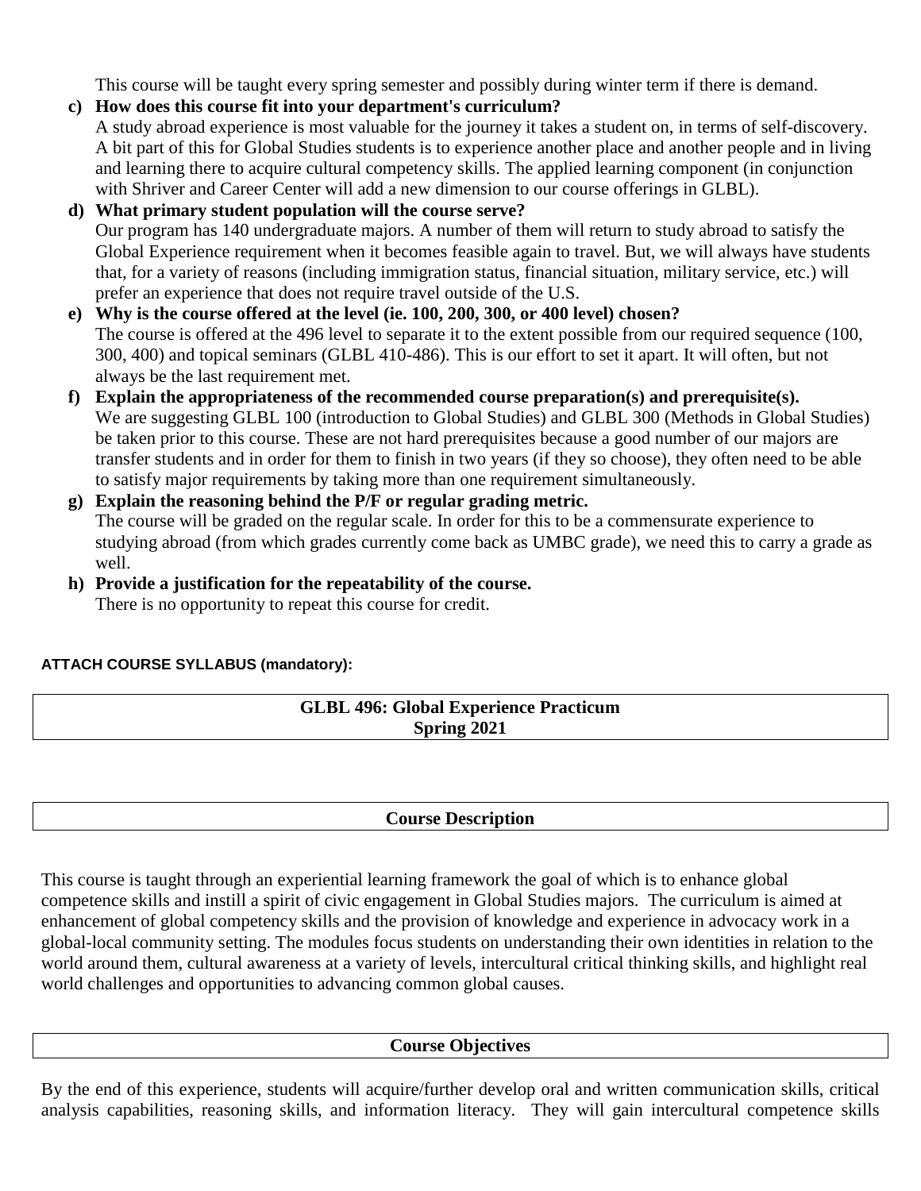This course will be taught every spring semester and possibly during winter term if there is demand.

- **c) How does this course fit into your department's curriculum?** A study abroad experience is most valuable for the journey it takes a student on, in terms of self-discovery. A bit part of this for Global Studies students is to experience another place and another people and in living and learning there to acquire cultural competency skills. The applied learning component (in conjunction with Shriver and Career Center will add a new dimension to our course offerings in GLBL).
- **d) What primary student population will the course serve?** Our program has 140 undergraduate majors. A number of them will return to study abroad to satisfy the Global Experience requirement when it becomes feasible again to travel. But, we will always have students that, for a variety of reasons (including immigration status, financial situation, military service, etc.) will prefer an experience that does not require travel outside of the U.S.
- **e) Why is the course offered at the level (ie. 100, 200, 300, or 400 level) chosen?** The course is offered at the 496 level to separate it to the extent possible from our required sequence (100, 300, 400) and topical seminars (GLBL 410-486). This is our effort to set it apart. It will often, but not always be the last requirement met.
- **f) Explain the appropriateness of the recommended course preparation(s) and prerequisite(s).**  We are suggesting GLBL 100 (introduction to Global Studies) and GLBL 300 (Methods in Global Studies) be taken prior to this course. These are not hard prerequisites because a good number of our majors are transfer students and in order for them to finish in two years (if they so choose), they often need to be able to satisfy major requirements by taking more than one requirement simultaneously.
- **g) Explain the reasoning behind the P/F or regular grading metric.**  The course will be graded on the regular scale. In order for this to be a commensurate experience to studying abroad (from which grades currently come back as UMBC grade), we need this to carry a grade as well.

#### **h) Provide a justification for the repeatability of the course.** There is no opportunity to repeat this course for credit.

# **ATTACH COURSE SYLLABUS (mandatory):**

# **GLBL 496: Global Experience Practicum Spring 2021**

# **Course Description**

This course is taught through an experiential learning framework the goal of which is to enhance global competence skills and instill a spirit of civic engagement in Global Studies majors. The curriculum is aimed at enhancement of global competency skills and the provision of knowledge and experience in advocacy work in a global-local community setting. The modules focus students on understanding their own identities in relation to the world around them, cultural awareness at a variety of levels, intercultural critical thinking skills, and highlight real world challenges and opportunities to advancing common global causes.

## **Course Objectives**

By the end of this experience, students will acquire/further develop oral and written communication skills, critical analysis capabilities, reasoning skills, and information literacy. They will gain intercultural competence skills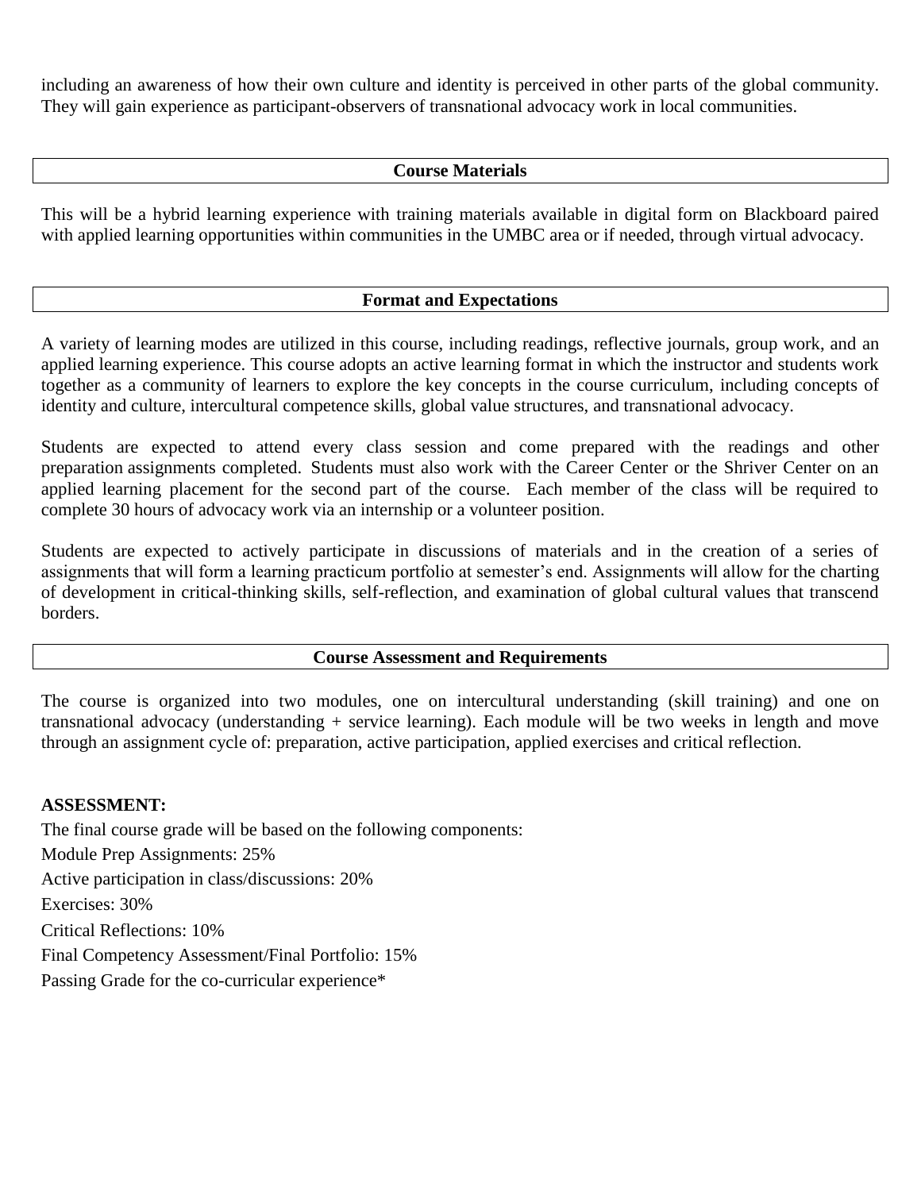including an awareness of how their own culture and identity is perceived in other parts of the global community. They will gain experience as participant-observers of transnational advocacy work in local communities.

### **Course Materials**

This will be a hybrid learning experience with training materials available in digital form on Blackboard paired with applied learning opportunities within communities in the UMBC area or if needed, through virtual advocacy.

#### **Format and Expectations**

A variety of learning modes are utilized in this course, including readings, reflective journals, group work, and an applied learning experience. This course adopts an active learning format in which the instructor and students work together as a community of learners to explore the key concepts in the course curriculum, including concepts of identity and culture, intercultural competence skills, global value structures, and transnational advocacy.

Students are expected to attend every class session and come prepared with the readings and other preparation assignments completed. Students must also work with the Career Center or the Shriver Center on an applied learning placement for the second part of the course. Each member of the class will be required to complete 30 hours of advocacy work via an internship or a volunteer position.

Students are expected to actively participate in discussions of materials and in the creation of a series of assignments that will form a learning practicum portfolio at semester's end. Assignments will allow for the charting of development in critical-thinking skills, self-reflection, and examination of global cultural values that transcend borders.

#### **Course Assessment and Requirements**

The course is organized into two modules, one on intercultural understanding (skill training) and one on transnational advocacy (understanding + service learning). Each module will be two weeks in length and move through an assignment cycle of: preparation, active participation, applied exercises and critical reflection.

#### **ASSESSMENT:**

The final course grade will be based on the following components: Module Prep Assignments: 25% Active participation in class/discussions: 20% Exercises: 30% Critical Reflections: 10% Final Competency Assessment/Final Portfolio: 15% Passing Grade for the co-curricular experience\*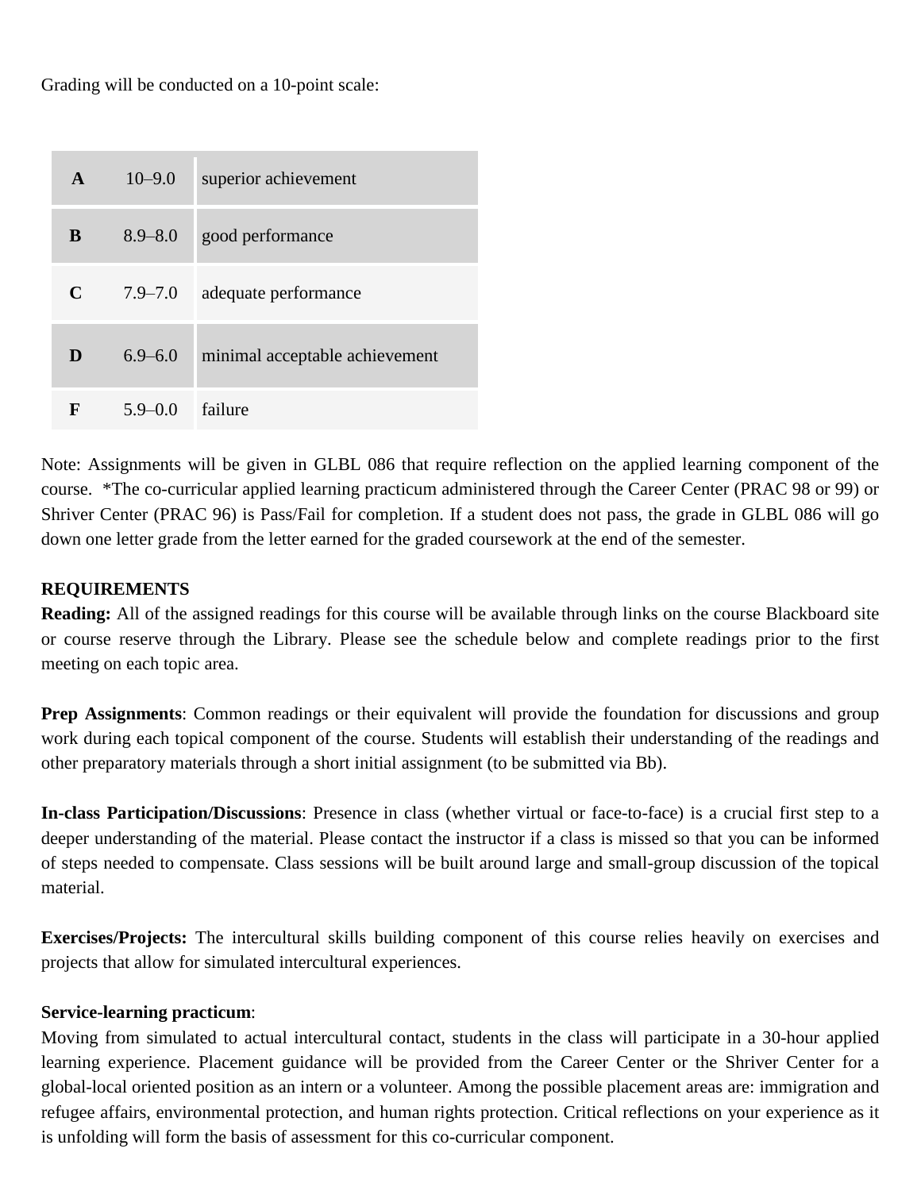Grading will be conducted on a 10-point scale:

| $\mathbf{A}$ | $10 - 9.0$  | superior achievement           |
|--------------|-------------|--------------------------------|
| <sub>B</sub> | $8.9 - 8.0$ | good performance               |
| $\mathbf C$  | $7.9 - 7.0$ | adequate performance           |
| D.           | $6.9 - 6.0$ | minimal acceptable achievement |
| F            | $5.9 - 0.0$ | failure                        |

Note: Assignments will be given in GLBL 086 that require reflection on the applied learning component of the course. \*The co-curricular applied learning practicum administered through the Career Center (PRAC 98 or 99) or Shriver Center (PRAC 96) is Pass/Fail for completion. If a student does not pass, the grade in GLBL 086 will go down one letter grade from the letter earned for the graded coursework at the end of the semester.

# **REQUIREMENTS**

**Reading:** All of the assigned readings for this course will be available through links on the course Blackboard site or course reserve through the Library. Please see the schedule below and complete readings prior to the first meeting on each topic area.

**Prep Assignments**: Common readings or their equivalent will provide the foundation for discussions and group work during each topical component of the course. Students will establish their understanding of the readings and other preparatory materials through a short initial assignment (to be submitted via Bb).

**In-class Participation/Discussions**: Presence in class (whether virtual or face-to-face) is a crucial first step to a deeper understanding of the material. Please contact the instructor if a class is missed so that you can be informed of steps needed to compensate. Class sessions will be built around large and small-group discussion of the topical material.

**Exercises/Projects:** The intercultural skills building component of this course relies heavily on exercises and projects that allow for simulated intercultural experiences.

## **Service-learning practicum**:

Moving from simulated to actual intercultural contact, students in the class will participate in a 30-hour applied learning experience. Placement guidance will be provided from the Career Center or the Shriver Center for a global-local oriented position as an intern or a volunteer. Among the possible placement areas are: immigration and refugee affairs, environmental protection, and human rights protection. Critical reflections on your experience as it is unfolding will form the basis of assessment for this co-curricular component.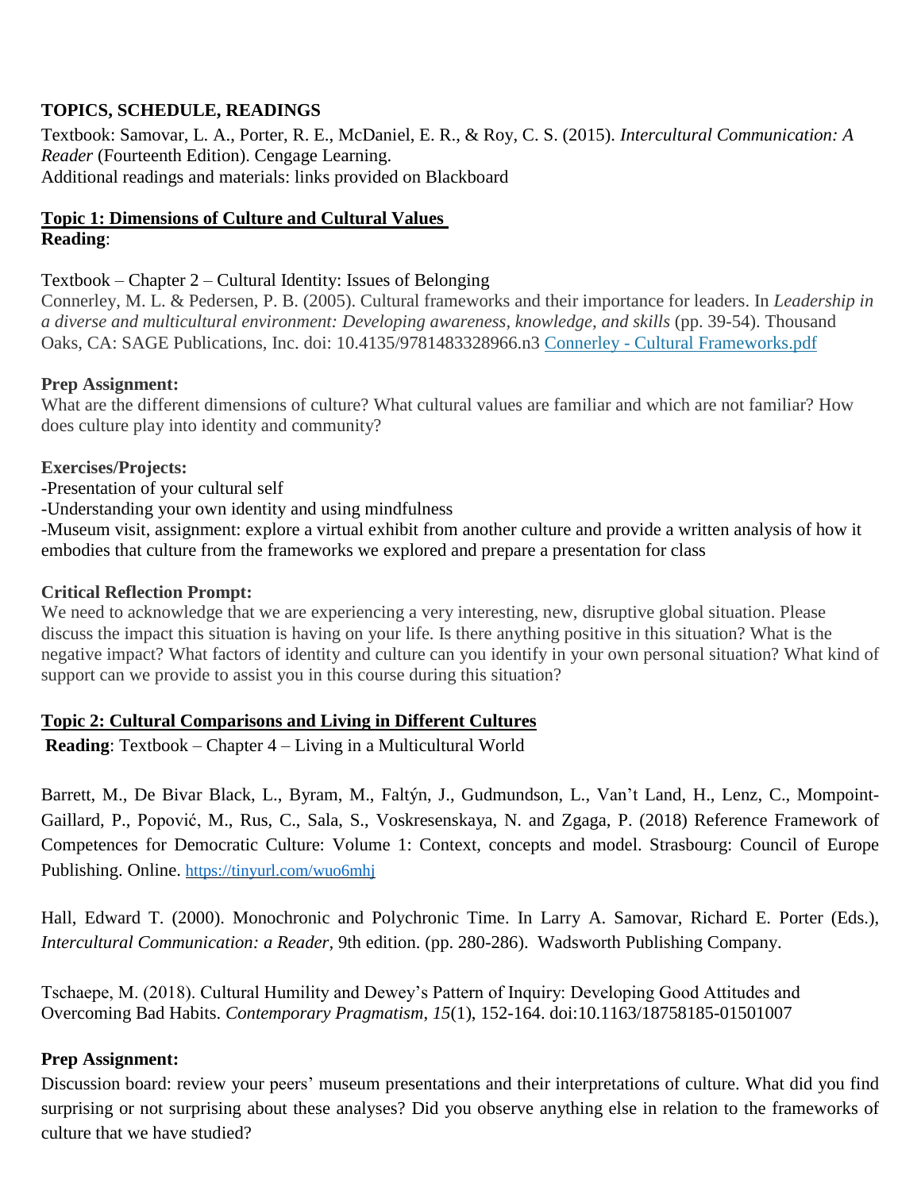# **TOPICS, SCHEDULE, READINGS**

Textbook: Samovar, L. A., Porter, R. E., McDaniel, E. R., & Roy, C. S. (2015). *Intercultural Communication: A Reader* (Fourteenth Edition). Cengage Learning. Additional readings and materials: links provided on Blackboard

## **Topic 1: Dimensions of Culture and Cultural Values Reading**:

# Textbook – Chapter 2 – Cultural Identity: Issues of Belonging

Connerley, M. L. & Pedersen, P. B. (2005). Cultural frameworks and their importance for leaders. In *Leadership in a diverse and multicultural environment: Developing awareness, knowledge, and skills* (pp. 39-54). Thousand Oaks, CA: SAGE Publications, Inc. doi: 10.4135/9781483328966.n3 Connerley - Cultural [Frameworks.pdf](https://blackboard.umbc.edu/bbcswebdav/pid-4083278-dt-content-rid-36413929_1/xid-36413929_1)

# **Prep Assignment:**

What are the different dimensions of culture? What cultural values are familiar and which are not familiar? How does culture play into identity and community?

# **Exercises/Projects:**

- *-*Presentation of your cultural self
- -Understanding your own identity and using mindfulness

-Museum visit, assignment: explore a virtual exhibit from another culture and provide a written analysis of how it embodies that culture from the frameworks we explored and prepare a presentation for class

# **Critical Reflection Prompt:**

We need to acknowledge that we are experiencing a very interesting, new, disruptive global situation. Please discuss the impact this situation is having on your life. Is there anything positive in this situation? What is the negative impact? What factors of identity and culture can you identify in your own personal situation? What kind of support can we provide to assist you in this course during this situation?

# **Topic 2: Cultural Comparisons and Living in Different Cultures**

**Reading**: Textbook – Chapter 4 – Living in a Multicultural World

Barrett, M., De Bivar Black, L., Byram, M., Faltýn, J., Gudmundson, L., Van't Land, H., Lenz, C., Mompoint-Gaillard, P., Popović, M., Rus, C., Sala, S., Voskresenskaya, N. and Zgaga, P. (2018) Reference Framework of Competences for Democratic Culture: Volume 1: Context, concepts and model. Strasbourg: Council of Europe Publishing. Online. <https://tinyurl.com/wuo6mhj>

Hall, Edward T. (2000). Monochronic and Polychronic Time. In Larry A. Samovar, Richard E. Porter (Eds.), *Intercultural Communication: a Reader,* 9th edition. (pp. 280-286). Wadsworth Publishing Company.

Tschaepe, M. (2018). Cultural Humility and Dewey's Pattern of Inquiry: Developing Good Attitudes and Overcoming Bad Habits. *Contemporary Pragmatism*, *15*(1), 152-164. doi:10.1163/18758185-01501007

# **Prep Assignment:**

Discussion board: review your peers' museum presentations and their interpretations of culture. What did you find surprising or not surprising about these analyses? Did you observe anything else in relation to the frameworks of culture that we have studied?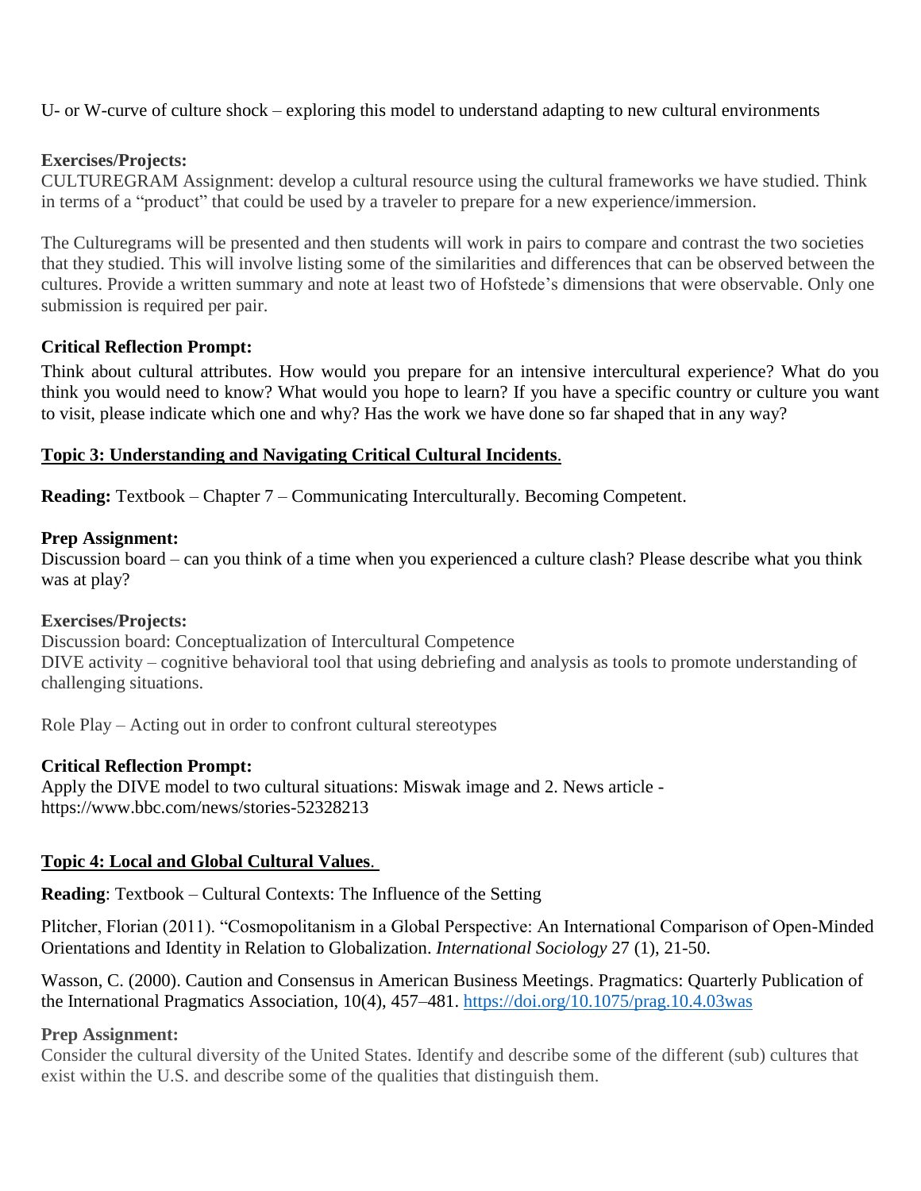### U- or W-curve of culture shock – exploring this model to understand adapting to new cultural environments

### **Exercises/Projects:**

CULTUREGRAM Assignment: develop a cultural resource using the cultural frameworks we have studied. Think in terms of a "product" that could be used by a traveler to prepare for a new experience/immersion.

The Culturegrams will be presented and then students will work in pairs to compare and contrast the two societies that they studied. This will involve listing some of the similarities and differences that can be observed between the cultures. Provide a written summary and note at least two of Hofstede's dimensions that were observable. Only one submission is required per pair.

### **Critical Reflection Prompt:**

Think about cultural attributes. How would you prepare for an intensive intercultural experience? What do you think you would need to know? What would you hope to learn? If you have a specific country or culture you want to visit, please indicate which one and why? Has the work we have done so far shaped that in any way?

#### **Topic 3: Understanding and Navigating Critical Cultural Incidents**.

**Reading:** Textbook – Chapter 7 – Communicating Interculturally. Becoming Competent.

#### **Prep Assignment:**

Discussion board – can you think of a time when you experienced a culture clash? Please describe what you think was at play?

#### **Exercises/Projects:**

Discussion board: Conceptualization of Intercultural Competence DIVE activity – cognitive behavioral tool that using debriefing and analysis as tools to promote understanding of challenging situations.

Role Play – Acting out in order to confront cultural stereotypes

#### **Critical Reflection Prompt:**

Apply the DIVE model to two cultural situations: Miswak image and 2. News article https://www.bbc.com/news/stories-52328213

#### **Topic 4: Local and Global Cultural Values**.

**Reading**: Textbook – Cultural Contexts: The Influence of the Setting

Plitcher, Florian (2011). "Cosmopolitanism in a Global Perspective: An International Comparison of Open-Minded Orientations and Identity in Relation to Globalization. *International Sociology* 27 (1), 21-50.

Wasson, C. (2000). Caution and Consensus in American Business Meetings. Pragmatics: Quarterly Publication of the International Pragmatics Association, 10(4), 457–481.<https://doi.org/10.1075/prag.10.4.03was>

### **Prep Assignment:**

Consider the cultural diversity of the United States. Identify and describe some of the different (sub) cultures that exist within the U.S. and describe some of the qualities that distinguish them.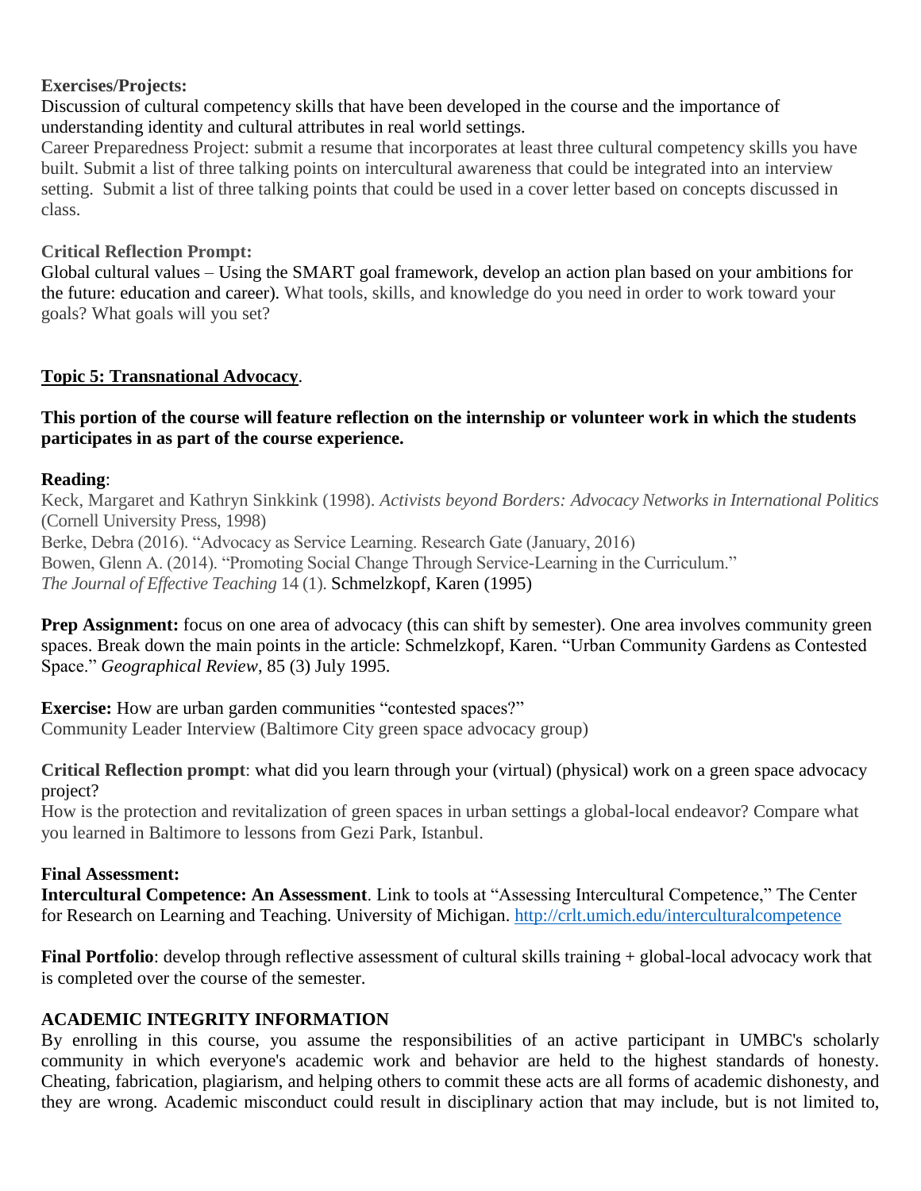## **Exercises/Projects:**

Discussion of cultural competency skills that have been developed in the course and the importance of understanding identity and cultural attributes in real world settings.

Career Preparedness Project: submit a resume that incorporates at least three cultural competency skills you have built. Submit a list of three talking points on intercultural awareness that could be integrated into an interview setting. Submit a list of three talking points that could be used in a cover letter based on concepts discussed in class.

### **Critical Reflection Prompt:**

Global cultural values – Using the SMART goal framework, develop an action plan based on your ambitions for the future: education and career). What tools, skills, and knowledge do you need in order to work toward your goals? What goals will you set?

## **Topic 5: Transnational Advocacy**.

## **This portion of the course will feature reflection on the internship or volunteer work in which the students participates in as part of the course experience.**

### **Reading**:

Keck, Margaret and Kathryn Sinkkink (1998). *Activists beyond Borders: Advocacy Networks in International Politics* (Cornell University Press, 1998)

Berke, Debra (2016). "Advocacy as Service Learning. Research Gate (January, 2016) Bowen, Glenn A. (2014). "Promoting Social Change Through Service-Learning in the Curriculum." *The Journal of Effective Teaching* 14 (1). Schmelzkopf, Karen (1995)

**Prep Assignment:** focus on one area of advocacy (this can shift by semester). One area involves community green spaces. Break down the main points in the article: Schmelzkopf, Karen. "Urban Community Gardens as Contested Space." *Geographical Review*, 85 (3) July 1995.

**Exercise:** How are urban garden communities "contested spaces?" Community Leader Interview (Baltimore City green space advocacy group)

**Critical Reflection prompt**: what did you learn through your (virtual) (physical) work on a green space advocacy project?

How is the protection and revitalization of green spaces in urban settings a global-local endeavor? Compare what you learned in Baltimore to lessons from Gezi Park, Istanbul.

#### **Final Assessment:**

**Intercultural Competence: An Assessment**. Link to tools at "Assessing Intercultural Competence," The Center for Research on Learning and Teaching. University of Michigan.<http://crlt.umich.edu/interculturalcompetence>

**Final Portfolio**: develop through reflective assessment of cultural skills training + global-local advocacy work that is completed over the course of the semester.

## **ACADEMIC INTEGRITY INFORMATION**

By enrolling in this course, you assume the responsibilities of an active participant in UMBC's scholarly community in which everyone's academic work and behavior are held to the highest standards of honesty. Cheating, fabrication, plagiarism, and helping others to commit these acts are all forms of academic dishonesty, and they are wrong. Academic misconduct could result in disciplinary action that may include, but is not limited to,